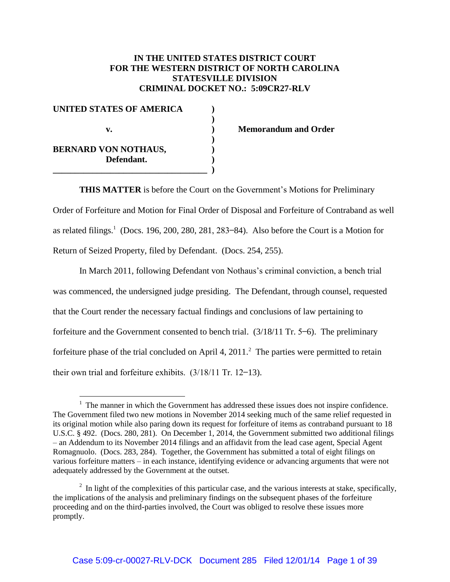# **IN THE UNITED STATES DISTRICT COURT FOR THE WESTERN DISTRICT OF NORTH CAROLINA STATESVILLE DIVISION CRIMINAL DOCKET NO.: 5:09CR27-RLV**

| <b>UNITED STATES OF AMERICA</b> |  |
|---------------------------------|--|
|                                 |  |
| v.                              |  |
|                                 |  |
| <b>BERNARD VON NOTHAUS,</b>     |  |
| Defendant.                      |  |
|                                 |  |

 $\overline{a}$ 

**v. ) Memorandum and Order**

**THIS MATTER** is before the Court on the Government's Motions for Preliminary Order of Forfeiture and Motion for Final Order of Disposal and Forfeiture of Contraband as well as related filings.<sup>1</sup> (Docs. 196, 200, 280, 281, 283–84). Also before the Court is a Motion for Return of Seized Property, filed by Defendant. (Docs. 254, 255).

In March 2011, following Defendant von Nothaus's criminal conviction a bench trial was commenced, the undersigned judge presiding. The Defendant, through counsel, requested that the Court render the necessary factual findings and conclusions of law pertaining to forfeiture and the Government consented to bench trial.  $(3/18/11 \text{ Tr. } 5-6)$ . The preliminary forfeiture phase of the trial concluded on April 4,  $2011$ .<sup>2</sup> The parties were permitted to retain their own trial and forfeiture exhibits.  $(3/18/11$  Tr. 12-13).

 $<sup>1</sup>$  The manner in which the Government has addressed these issues does not inspire confidence.</sup> The Government filed two new motions in November 2014 seeking much of the same relief requested in its original motion while also paring down its request for forfeiture of items as contraband pursuant to 18 U.S.C. § 492. (Docs. 280, 281). On December 1, 2014, the Government submitted two additional filings – an Addendum to its November 2014 filings and an affidavit from the lead case agent, Special Agent Romagnuolo. (Docs. 283, 284). Together, the Government has submitted a total of eight filings on various forfeiture matters – in each instance, identifying evidence or advancing arguments that were not adequately addressed by the Government at the outset.

 $2\;\text{In light of the complexities of this particular case, and the various interests at stake, specifically,}$ the implications of the analysis and preliminary findings on the subsequent phases of the forfeiture proceeding and on the third-parties involved, the Court was obliged to resolve these issues more promptly.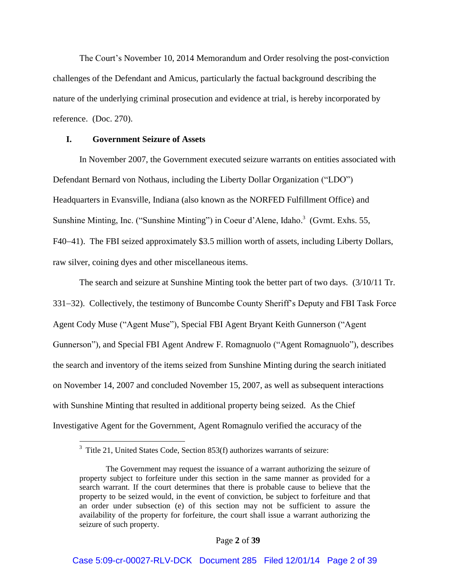he Court's November 10, 2014 Memorandum and Order resolving the post-conviction challenges of the Defendant and Amicus, particularly the factual background describing the nature of the underlying criminal prosecution and evidence at trial, is hereby incorporated by reference. (Doc. 270).

## **I. Government Seizure of Assets**

In November 2007, the Government executed seizure warrants on entities associated with Defendant Bernard von Nothaus, including the Liberty Dollar Organization ("LDO") Headquarters in Evansville, Indiana (also known as the NORFED Fulfillment Office) and Sunshine Minting, Inc. ("Sunshine Minting") in Coeur d'Alene, Idaho.<sup>3</sup> (Gvmt. Exhs. 55, F40–41). The FBI seized approximately \$3.5 million worth of assets, including Liberty Dollars, raw silver, coining dyes and other miscellaneous items.

The search and seizure at Sunshine Minting took the better part of two days. (3/10/11 Tr. 331–32). Collectively, the testimony of Buncombe County Sheriff's Deputy and FBI Task Force Agent Cody Muse "Agent Muse"), Special FBI Agent Bryant Keith Gunnerson "Agent Gunnerson"), and Special FBI Agent Andrew F. Romagnuolo "Agent Romagnuolo"), describes the search and inventory of the items seized from Sunshine Minting during the search initiated on November 14, 2007 and concluded November 15, 2007, as well as subsequent interactions with Sunshine Minting that resulted in additional property being seized. As the Chief Investigative Agent for the Government, Agent Romagnulo verified the accuracy of the

 3 Title 21, United States Code, Section 853(f) authorizes warrants of seizure:

The Government may request the issuance of a warrant authorizing the seizure of property subject to forfeiture under this section in the same manner as provided for a search warrant. If the court determines that there is probable cause to believe that the property to be seized would, in the event of conviction, be subject to forfeiture and that an order under subsection (e) of this section may not be sufficient to assure the availability of the property for forfeiture, the court shall issue a warrant authorizing the seizure of such property.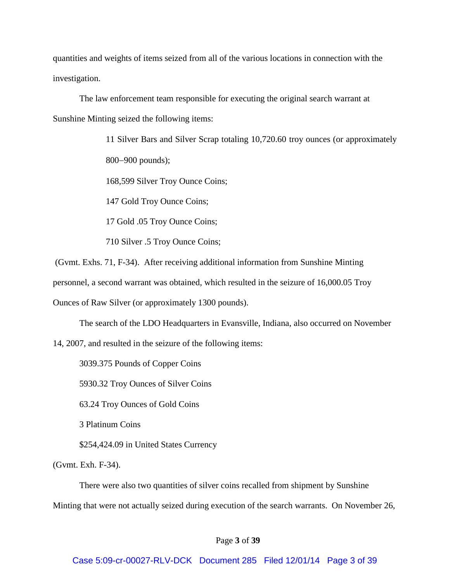quantities and weights of items seized from all of the various locations in connection with the investigation.

The law enforcement team responsible for executing the original search warrant at Sunshine Minting seized the following items:

> 11 Silver Bars and Silver Scrap totaling 10,720.60 troy ounces (or approximately 800–900 pounds);

168,599 Silver Troy Ounce Coins;

147 Gold Troy Ounce Coins;

17 Gold .05 Troy Ounce Coins;

710 Silver .5 Troy Ounce Coins;

(Gvmt. Exhs. 71, F-34). After receiving additional information from Sunshine Minting

personnel, a second warrant was obtained, which resulted in the seizure of 16,000.05 Troy

Ounces of Raw Silver (or approximately 1300 pounds).

The search of the LDO Headquarters in Evansville, Indiana, also occurred on November

14, 2007, and resulted in the seizure of the following items:

3039.375 Pounds of Copper Coins

5930.32 Troy Ounces of Silver Coins

63.24 Troy Ounces of Gold Coins

3 Platinum Coins

\$254,424.09 in United States Currency

(Gvmt. Exh. F-34).

There were also two quantities of silver coins recalled from shipment by Sunshine

Minting that were not actually seized during execution of the search warrants. On November 26,

### Page **3** of **39**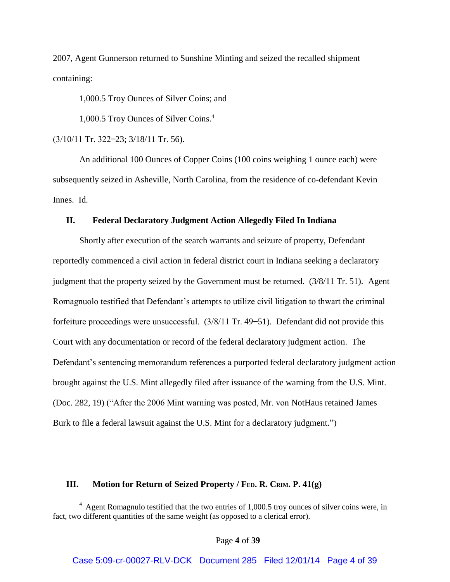2007, Agent Gunnerson returned to Sunshine Minting and seized the recalled shipment containing:

1,000.5 Troy Ounces of Silver Coins; and

1,000.5 Troy Ounces of Silver Coins.<sup>4</sup>

 $(3/10/11$  Tr. 322-23;  $3/18/11$  Tr. 56).

 $\overline{a}$ 

An additional 100 Ounces of Copper Coins (100 coins weighing 1 ounce each) were subsequently seized in Asheville, North Carolina, from the residence of co-defendant Kevin Innes. Id.

## **II. Federal Declaratory Judgment Action Allegedly Filed In Indiana**

Shortly after execution of the search warrants and seizure of property, Defendant reportedly commenced a civil action in federal district court in Indiana seeking a declaratory judgment that the property seized by the Government must be returned. (3/8/11 Tr. 51). Agent Romagnuolo testified that Defendant's attempts to utilize civil litigation to thwart the criminal forfeiture proceedings were unsuccess ful.  $(3/8/11 \text{ Tr. } 49-51)$ . Defendant did not provide this Court with any documentation or record of the federal declaratory judgment action. The Defendant's sentencing memorandum references a purported federal declaratory judgment action brought against the U.S. Mint allegedly filed after issuance of the warning from the U.S. Mint. (Doc. 282, 19) ("After the 2006 Mint warning was posted, Mr. von NotHaus retained James Burk to file a federal lawsuit against the U.S. Mint for a declaratory judgment.")

## **III. Motion for Return of Seized Property / FED. R. CRIM. P. 41(g)**

<sup>&</sup>lt;sup>4</sup> Agent Romagnulo testified that the two entries of 1,000.5 troy ounces of silver coins were, in fact, two different quantities of the same weight (as opposed to a clerical error).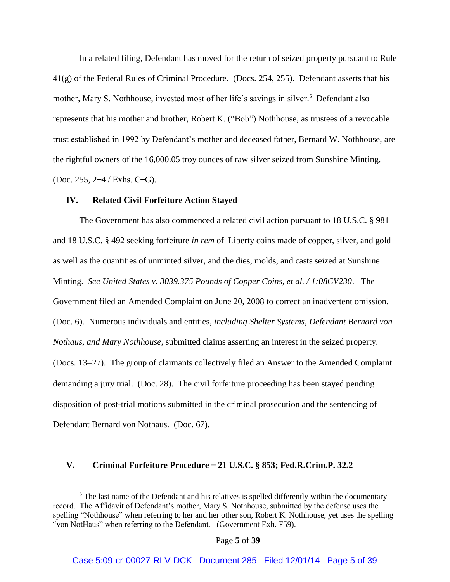In a related filing, Defendant has moved for the return of seized property pursuant to Rule 41(g) of the Federal Rules of Criminal Procedure. (Docs. 254, 255). Defendant asserts that his mother, Mary S. Nothhouse, invested most of her life's savings in silver.<sup>5</sup> Defendant also represents that his mother and brother, Robert K. ("Bob") Nothhouse, as trustees of a revocable trust established in 1992 by Defendant's mother and deceased father, Bernard W. Nothhouse, are the rightful owners of the 16,000.05 troy ounces of raw silver seized from Sunshine Minting. (Doc. 255,  $2-4$  / Exhs. C-G).

#### **IV. Related Civil Forfeiture Action Stayed**

 $\overline{a}$ 

The Government has also commenced a related civil action pursuant to 18 U.S.C. § 981 and 18 U.S.C. § 492 seeking forfeiture *in rem* of Liberty coins made of copper, silver, and gold as well as the quantities of unminted silver, and the dies, molds, and casts seized at Sunshine Minting. *See United States v. 3039.375 Pounds of Copper Coins, et al. / 1:08CV230*. The Government filed an Amended Complaint on June 20, 2008 to correct an inadvertent omission. (Doc. 6). Numerous individuals and entities, *including Shelter Systems, Defendant Bernard von Nothaus, and Mary Nothhouse*, submitted claims asserting an interest in the seized property. (Docs. 13–27). The group of claimants collectively filed an Answer to the Amended Complaint demanding a jury trial. (Doc. 28). The civil forfeiture proceeding has been stayed pending disposition of post-trial motions submitted in the criminal prosecution and the sentencing of Defendant Bernard von Nothaus. (Doc. 67).

## **V. Criminal Forfeiture Procedure 21 U.S.C. § 853; Fed.R.Crim.P. 32.2**

 $<sup>5</sup>$  The last name of the Defendant and his relatives is spelled differently within the documentary</sup> record. The Affidavit of Defendant's mother, Mary S. Nothhouse, submitted by the defense uses the spelling "Nothhouse" when referring to her and her other son, Robert K. Nothhouse, yet uses the spelling "von NotHaus" when referring to the Defendant. (Government Exh. F59).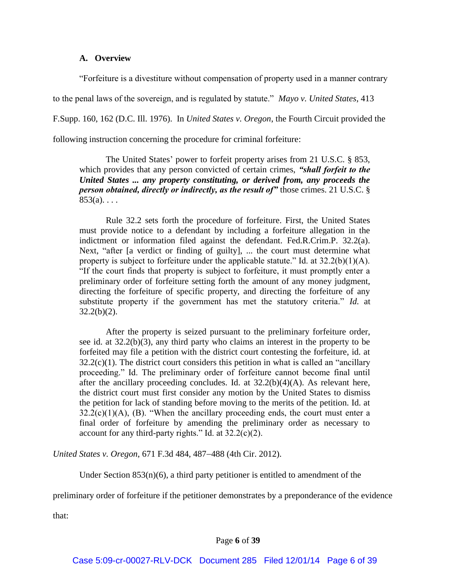## **A. Overview**

"For feiture is a divestiture without compensation of property used in a manner contrary

to the penal laws of the sovereign, and is regulated by statute." *Mayo v. United States*, 413

F.Supp. 160, 162 (D.C. Ill. 1976). In *United States v. Oregon*, the Fourth Circuit provided the

following instruction concerning the procedure for criminal forfeiture:

The United States' power to forfeit property arises from 21 U.S.C. § 853, which provides that any person convicted of certain crimes, *"shall forfeit to the United States ... any property constituting, or derived from, any proceeds the person obtained, directly or indirectly, as the result of"* those crimes. 21 U.S.C. §  $853(a)$ . . . .

Rule 32.2 sets forth the procedure of forfeiture. First, the United States must provide notice to a defendant by including a forfeiture allegation in the indictment or information filed against the defendant. Fed.R.Crim.P. 32.2(a). Next, "after [a verdict or finding of guilty], ... the court must determine what property is subject to forfeiture under the applicable statute." Id. at  $32.2(b)(1)(A)$ . "If the court finds that property is subject to forfeiture, it must promptly enter a preliminary order of forfeiture setting forth the amount of any money judgment, directing the forfeiture of specific property, and directing the forfeiture of any substitute property if the government has met the statutory criteria." *Id.* at  $32.2(b)(2)$ .

After the property is seized pursuant to the preliminary forfeiture order, see id. at 32.2(b)(3), any third party who claims an interest in the property to be forfeited may file a petition with the district court contesting the forfeiture, id. at  $32.2(c)(1)$ . The district court considers this petition in what is called an "ancillary proceeding." Id. The preliminary order of forfeiture cannot become final until after the ancillary proceeding concludes. Id. at  $32.2(b)(4)(A)$ . As relevant here, the district court must first consider any motion by the United States to dismiss the petition for lack of standing before moving to the merits of the petition. Id. at  $32.2(c)(1)(A)$ , (B). "When the ancillary proceeding ends, the court must enter a final order of forfeiture by amending the preliminary order as necessary to account for any third-party rights." Id. at  $32.2(c)(2)$ .

*United States v. Oregon,* 671 F.3d 484, 487–488 (4th Cir. 2012).

Under Section  $853(n)(6)$ , a third party petitioner is entitled to amendment of the

preliminary order of forfeiture if the petitioner demonstrates by a preponderance of the evidence

that: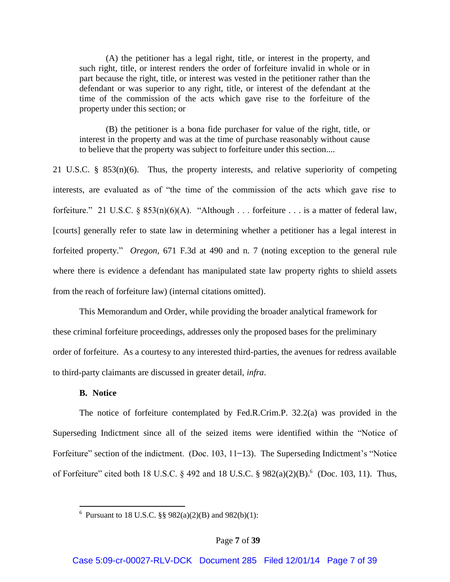(A) the petitioner has a legal right, title, or interest in the property, and such right, title, or interest renders the order of forfeiture invalid in whole or in part because the right, title, or interest was vested in the petitioner rather than the defendant or was superior to any right, title, or interest of the defendant at the time of the commission of the acts which gave rise to the forfeiture of the property under this section; or

(B) the petitioner is a bona fide purchaser for value of the right, title, or interest in the property and was at the time of purchase reasonably without cause to believe that the property was subject to forfeiture under this section....

21 U.S.C. § 853(n)(6). Thus, the property interests, and relative superiority of competing interests, are evaluated as of "the time of the commission of the acts which gave rise to forfeiture." 21 U.S.C. §  $853(n)(6)(A)$ . "Although . . . forfeiture . . . is a matter of federal law, [courts] generally refer to state law in determining whether a petitioner has a legal interest in forfeited property." *Oregon*, 671 F.3d at 490 and n. 7 (noting exception to the general rule where there is evidence a defendant has manipulated state law property rights to shield assets from the reach of forfeiture law) (internal citations omitted).

This Memorandum and Order, while providing the broader analytical framework for these criminal forfeiture proceedings, addresses only the proposed bases for the preliminary order of forfeiture. As a courtesy to any interested third-parties, the avenues for redress available to third-party claimants are discussed in greater detail, *infra*.

## **B. Notice**

The notice of forfeiture contemplated by Fed.R.Crim.P. 32.2(a) was provided in the Superseding Indictment since all of the seized items were identified within the "Notice o For feiture" section of the indictment. (Doc. 103,  $11-13$ ). The Superseding Indictment's "Notice of Forfeiture" cited both 18 U.S.C.  $\S$  492 and 18 U.S.C.  $\S$  982(a)(2)(B).  $\textdegree$  (Doc. 103, 11). Thus,

 6 Pursuant to 18 U.S.C. §§ 982(a)(2)(B) and 982(b)(1):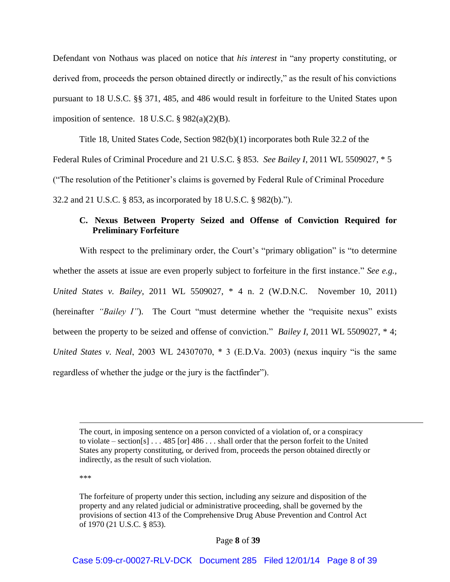Defendant von Nothaus was placed on notice that *his interest* in "any property constituting, or derived from, proceeds the person obtained directly or indirectly," as the result of his convictions pursuant to 18 U.S.C. §§ 371, 485, and 486 would result in forfeiture to the United States upon imposition of sentence. 18 U.S.C.  $\S 982(a)(2)(B)$ .

Title 18, United States Code, Section 982(b)(1) incorporates both Rule 32.2 of the Federal Rules of Criminal Procedure and 21 U.S.C. § 853. *See Bailey I*, 2011 WL 5509027, \* 5 " The resolution of the Petitioner's claims is governed by Federal Rule of Criminal Procedure 32.2 and 21 U.S.C. § 853, as incorporated by 18 U.S.C. § 982(b).")

# **C. Nexus Between Property Seized and Offense of Conviction Required for Preliminary Forfeiture**

With respect to the preliminary order, the Court's "primary obligation" is "to determine whether the assets at issue are even properly subject to forfeiture in the first instance." See e.g., *United States v. Bailey*, 2011 WL 5509027, \* 4 n. 2 (W.D.N.C. November 10, 2011) (hereinafter *"Bailey I"*). The Court "must determine whether the "requisite nexus" exists between the property to be seized and offense of conviction." *Bailey I*, 2011 WL 5509027, \* 4; *United States v. Neal*, 2003 WL 24307070,  $*$  3 (E.D.Va. 2003) (nexus inquiry "is the same regardless of whether the judge or the jury is the fact finder").

\*\*\*

The court, in imposing sentence on a person convicted of a violation of, or a conspiracy to violate – section[s]  $\ldots$  485 [or] 486  $\ldots$  shall order that the person forfeit to the United States any property constituting, or derived from, proceeds the person obtained directly or indirectly, as the result of such violation.

The forfeiture of property under this section, including any seizure and disposition of the property and any related judicial or administrative proceeding, shall be governed by the provisions of section 413 of the Comprehensive Drug Abuse Prevention and Control Act of 1970 (21 U.S.C. § 853).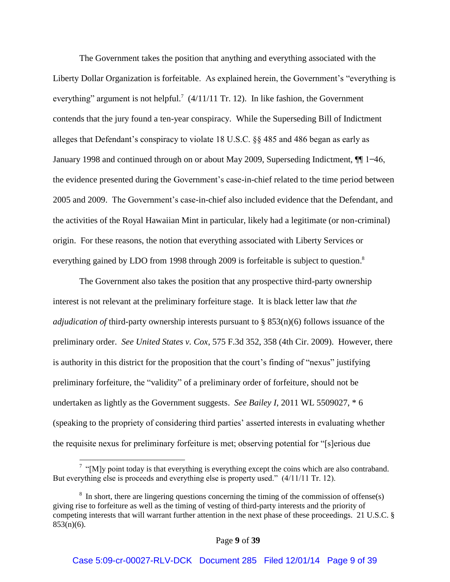The Government takes the position that anything and everything associated with the Liberty Dollar Organization is forfeitable. As explained herein, the Government's "everything is everything" argument is not helpful.<sup>7</sup> (4/11/11 Tr. 12). In like fashion, the Government contends that the jury found a ten-year conspiracy. While the Superseding Bill of Indictment alleges that Defendant's conspiracy to violate 18 U.S.C.  $\S$ § 485 and 486 began as early as January 1998 and continued through on or about May 2009, Superseding Indictment,  $\P\P$  1–46, the evidence presented during the Government's case-in-chief related to the time period between 2005 and 2009. The Government's case-in-chief also included evidence that the Defendant, and the activities of the Royal Hawaiian Mint in particular, likely had a legitimate (or non-criminal) origin. For these reasons, the notion that everything associated with Liberty Services or everything gained by LDO from 1998 through 2009 is forfeitable is subject to question.<sup>8</sup>

The Government also takes the position that any prospective third-party ownership interest is not relevant at the preliminary forfeiture stage. It is black letter law that *the adjudication of* third-party ownership interests pursuant to § 853(n)(6) follows issuance of the preliminary order. *See United States v. Cox*, 575 F.3d 352, 358 (4th Cir. 2009). However, there is authority in this district for the proposition that the court's finding of "nexus" justifying preliminary forfeiture, the "validity" of a preliminary order of forfeiture, should not be undertaken as lightly as the Government suggests. *See Bailey I*, 2011 WL 5509027, \* 6 (speaking to the propriety of considering third parties' asserted interests in evaluating whether the requisite nexus for preliminary for feiture is met; observing potential for "[s]erious due

<sup>&</sup>lt;sup>7</sup> "[M]y point today is that everything is everything except the coins which are also contraband. But everything else is proceeds and everything else is property used."  $(4/11/11$  Tr. 12).

 $8\,$  In short, there are lingering questions concerning the timing of the commission of offense(s) giving rise to forfeiture as well as the timing of vesting of third-party interests and the priority of competing interests that will warrant further attention in the next phase of these proceedings. 21 U.S.C. §  $853(n)(6)$ .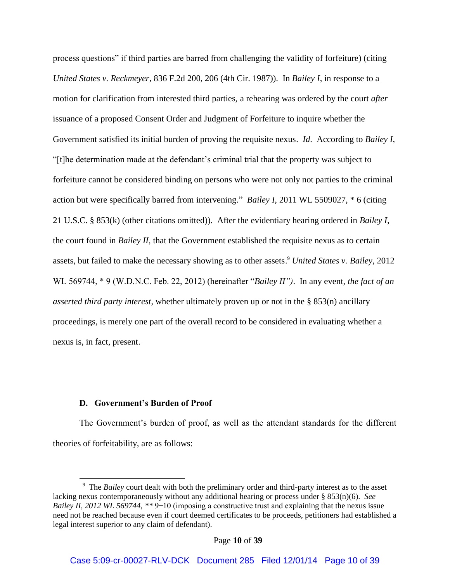process questions" if third parties are barred from challenging the validity of forfeiture) (citing *United States v. Reckmeyer*, 836 F.2d 200, 206 (4th Cir. 1987)). In *Bailey I*, in response to a motion for clarification from interested third parties, a rehearing was ordered by the court *after* issuance of a proposed Consent Order and Judgment of Forfeiture to inquire whether the Government satisfied its initial burden of proving the requisite nexus. *Id*. According to *Bailey I*, "[t]he determination made at the defendant's criminal trial that the property was subject to forfeiture cannot be considered binding on persons who were not only not parties to the criminal action but were specifically barred from intervening." *Bailey I*, 2011 WL 5509027, \* 6 (citing 21 U.S.C. § 853(k) (other citations omitted)). After the evidentiary hearing ordered in *Bailey I*, the court found in *Bailey II*, that the Government established the requisite nexus as to certain assets, but failed to make the necessary showing as to other assets. <sup>9</sup> *United States v. Bailey*, 2012 WL 569744,  $*$  9 (W.D.N.C. Feb. 22, 2012) (hereinafter "*Bailey II"*). In any event, *the fact of an asserted third party interest*, whether ultimately proven up or not in the § 853(n) ancillary proceedings, is merely one part of the overall record to be considered in evaluating whether a nexus is, in fact, present.

## **D. Government's Burden of Proof**

The Government's burden of proof, as well as the attendant standards for the different theories of forfeitability, are as follows:

<sup>&</sup>lt;sup>9</sup> The *Bailey* court dealt with both the preliminary order and third-party interest as to the asset lacking nexus contemporaneously without any additional hearing or process under § 853(n)(6). *See Bailey II, 2012 WL 569744, \*\* 9*–10 (imposing a constructive trust and explaining that the nexus issue need not be reached because even if court deemed certificates to be proceeds, petitioners had established a legal interest superior to any claim of defendant).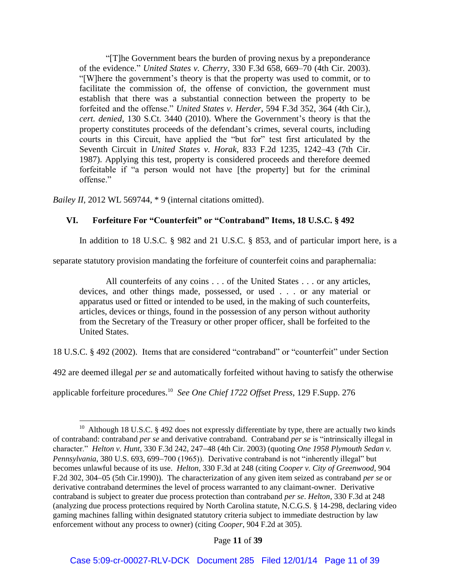"[T]he Government bears the burden of proving nexus by a preponderance of the evidence." *United States v. Cherry*, 330 F.3d 658, 669–70 (4th Cir. 2003). "[W]here the government's theory is that the property was used to commit, or to facilitate the commission of, the offense of conviction, the government must establish that there was a substantial connection between the property to be forfeited and the offense." *United States v. Herder*, 594 F.3d 352, 364 (4th Cir.), *cert. denied*, 130 S.Ct. 3440 (2010). Where the Government's theory is that the property constitutes proceeds of the defendant's crimes, several courts, including courts in this Circuit, have applied the "but for" test first articulated by the Seventh Circuit in *United States v. Horak*, 833 F.2d 1235, 1242–43 (7th Cir. 1987). Applying this test, property is considered proceeds and therefore deemed forfeitable if "a person would not have [the property] but for the criminal offense."

*Bailey II*, 2012 WL 569744, \* 9 (internal citations omitted).

 $\overline{a}$ 

## **VI. Forfeiture For "Counterfeit" or "Contraband" Items, 18 U.S.C. § 492**

In addition to 18 U.S.C. § 982 and 21 U.S.C. § 853, and of particular import here, is a

separate statutory provision mandating the forfeiture of counterfeit coins and paraphernalia:

All counterfeits of any coins . . . of the United States . . . or any articles, devices, and other things made, possessed, or used . . . or any material or apparatus used or fitted or intended to be used, in the making of such counterfeits, articles, devices or things, found in the possession of any person without authority from the Secretary of the Treasury or other proper officer, shall be forfeited to the United States.

18 U.S.C. § 492 (2002). Items that are considered "contraband" or "counterfeit" under Section

492 are deemed illegal *per se* and automatically forfeited without having to satisfy the otherwise

applicable forfeiture procedures.<sup>10</sup> *See One Chief 1722 Offset Press*, 129 F.Supp. 276

Page **11** of **39**

<sup>&</sup>lt;sup>10</sup> Although 18 U.S.C.  $\S$  492 does not expressly differentiate by type, there are actually two kinds of contraband: contraband *per se* and derivative contraband. Contraband *per se* is "intrinsically illegal in character." *Helton v. Hunt*, 330 F.3d 242, 247-48 (4th Cir. 2003) (quoting *One 1958 Plymouth Sedan v. Pennsylvania*, 380 U.S. 693, 699-700 (1965)). Derivative contraband is not "inherently illegal" but becomes unlawful because of its use. *Helton*, 330 F.3d at 248 (citing *Cooper v. City of Greenwood*, 904 F.2d 302, 304–05 (5th Cir.1990)). The characterization of any given item seized as contraband *per se* or derivative contraband determines the level of process warranted to any claimant-owner. Derivative contraband is subject to greater due process protection than contraband *per se*. *Helton*, 330 F.3d at 248 (analyzing due process protections required by North Carolina statute, N.C.G.S. § 14-298, declaring video gaming machines falling within designated statutory criteria subject to immediate destruction by law enforcement without any process to owner) (citing *Cooper*, 904 F.2d at 305).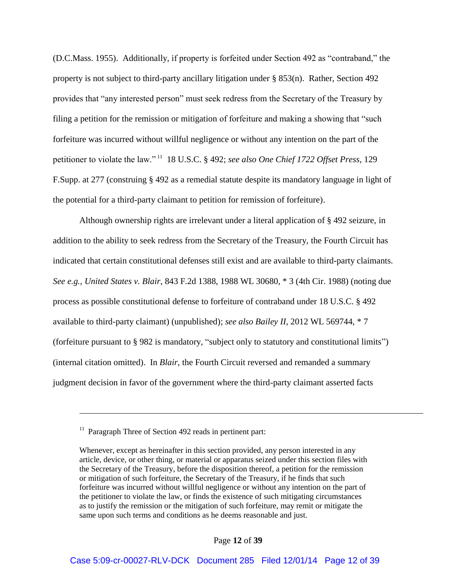(D.C.Mass. 1955). Additionally, if property is forfeited under Section 492 as "contraband," the property is not subject to third-party ancillary litigation under § 853(n). Rather, Section 492 provides that "any interested person" must seek redress from the Secretary of the Treasury by filing a petition for the remission or mitigation of forfeiture and making a showing that "such" forfeiture was incurred without willful negligence or without any intention on the part of the petitioner to violate the law."<sup>11</sup> 18 U.S.C. § 492; *see also One Chief 1722 Offset Press*, 129 F.Supp. at 277 (construing § 492 as a remedial statute despite its mandatory language in light of the potential for a third-party claimant to petition for remission of forfeiture).

Although ownership rights are irrelevant under a literal application of § 492 seizure, in addition to the ability to seek redress from the Secretary of the Treasury, the Fourth Circuit has indicated that certain constitutional defenses still exist and are available to third-party claimants. *See e.g., United States v. Blair*, 843 F.2d 1388, 1988 WL 30680, \* 3 (4th Cir. 1988) (noting due process as possible constitutional defense to forfeiture of contraband under 18 U.S.C. § 492 available to third-party claimant) (unpublished); *see also Bailey II*, 2012 WL 569744, \* 7 (forfeiture pursuant to § 982 is mandatory, "subject only to statutory and constitutional limits") (internal citation omitted). In *Blair*, the Fourth Circuit reversed and remanded a summary judgment decision in favor of the government where the third-party claimant asserted facts

<sup>&</sup>lt;sup>11</sup> Paragraph Three of Section 492 reads in pertinent part:

Whenever, except as hereinafter in this section provided, any person interested in any article, device, or other thing, or material or apparatus seized under this section files with the Secretary of the Treasury, before the disposition thereof, a petition for the remission or mitigation of such forfeiture, the Secretary of the Treasury, if he finds that such forfeiture was incurred without willful negligence or without any intention on the part of the petitioner to violate the law, or finds the existence of such mitigating circumstances as to justify the remission or the mitigation of such forfeiture, may remit or mitigate the same upon such terms and conditions as he deems reasonable and just.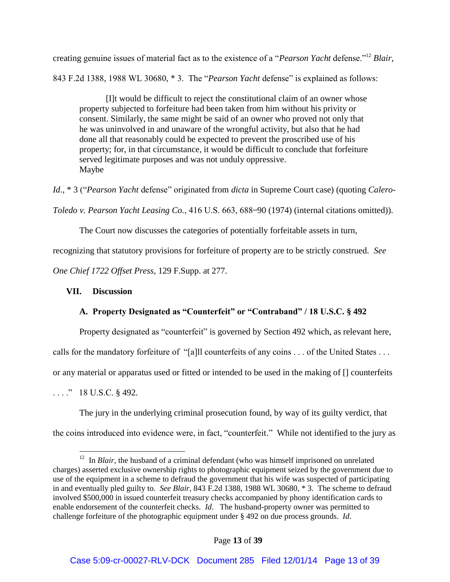creating genuine issues of material fact as to the existence of a "*Pearson Yacht* defense."<sup>12</sup> *Blair*, 843 F.2d 1388, 1988 WL 30680, \* 3. The "*Pearson Yacht* defense" is explained as follows:

[I]t would be difficult to reject the constitutional claim of an owner whose property subjected to forfeiture had been taken from him without his privity or consent. Similarly, the same might be said of an owner who proved not only that he was uninvolved in and unaware of the wrongful activity, but also that he had done all that reasonably could be expected to prevent the proscribed use of his property; for, in that circumstance, it would be difficult to conclude that forfeiture served legitimate purposes and was not unduly oppressive. Maybe

*Id.*, \* 3 ("Pearson Yacht defense" originated from *dicta* in Supreme Court case) (quoting *Calero-*

*Toledo v. Pearson Yacht Leasing Co.*, 416 U.S. 663, 688–90 (1974) (internal citations omitted)).

The Court now discusses the categories of potentially forfeitable assets in turn,

recognizing that statutory provisions for forfeiture of property are to be strictly construed. *See* 

*One Chief 1722 Offset Press*, 129 F.Supp. at 277.

# **VII. Discussion**

# **A. Property Designated as "Counterfeit" or "Contraband" / 18 U.S.C. § 492**

Property designated as "counterfeit" is governed by Section 492 which, as relevant here,

calls for the mandatory for feiture of "[a]ll counterfeits of any coins  $\dots$  of the United States  $\dots$ 

or any material or apparatus used or fitted or intended to be used in the making of [] counterfeits

 $\ldots$   $\ddot{ }$  18 U.S.C. § 492.

The jury in the underlying criminal prosecution found, by way of its guilty verdict, that the coins introduced into evidence were, in fact, "counterfeit." While not identified to the jury as

<sup>&</sup>lt;sup>12</sup> In *Blair*, the husband of a criminal defendant (who was himself imprisoned on unrelated charges) asserted exclusive ownership rights to photographic equipment seized by the government due to use of the equipment in a scheme to defraud the government that his wife was suspected of participating in and eventually pled guilty to. *See Blair*, 843 F.2d 1388, 1988 WL 30680, \* 3. The scheme to defraud involved \$500,000 in issued counterfeit treasury checks accompanied by phony identification cards to enable endorsement of the counterfeit checks. *Id*. The husband-property owner was permitted to challenge forfeiture of the photographic equipment under § 492 on due process grounds. *Id*.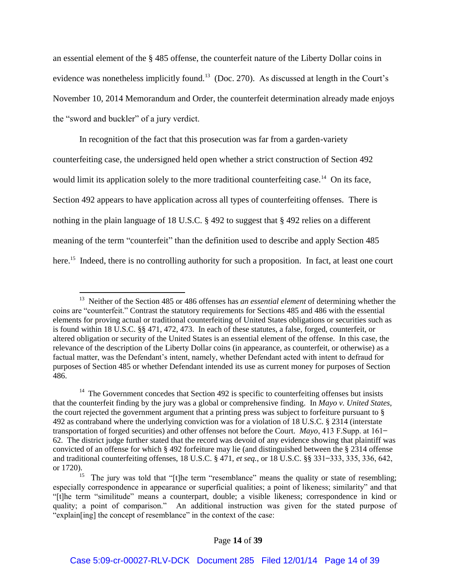an essential element of the § 485 offense, the counterfeit nature of the Liberty Dollar coins in evidence was nonetheless implicitly found.<sup>13</sup> (Doc. 270). As discussed at length in the Court's November 10, 2014 Memorandum and Order, the counterfeit determination already made enjoys the "sword and buckler" of a jury verdict.

In recognition of the fact that this prosecution was far from a garden-variety counterfeiting case, the undersigned held open whether a strict construction of Section 492 would limit its application solely to the more traditional counterfeiting case.<sup>14</sup> On its face, Section 492 appears to have application across all types of counterfeiting offenses. There is nothing in the plain language of 18 U.S.C. § 492 to suggest that § 492 relies on a different meaning of the term "counterfeit" than the definition used to describe and apply Section 485 here.<sup>15</sup> Indeed, there is no controlling authority for such a proposition. In fact, at least one court

 13 Neither of the Section 485 or 486 offenses has *an essential element* of determining whether the coins are "counterfeit." Contrast the statutory requirements for Sections 485 and 486 with the essential elements for proving actual or traditional counterfeiting of United States obligations or securities such as is found within 18 U.S.C. §§ 471, 472, 473. In each of these statutes, a false, forged, counterfeit, or altered obligation or security of the United States is an essential element of the offense. In this case, the relevance of the description of the Liberty Dollar coins (in appearance, as counterfeit, or otherwise) as a factual matter, was the Defendant's intent, namely, whether Defendant acted with intent to defraud for purposes of Section 485 or whether Defendant intended its use as current money for purposes of Section 486.

 $14$  The Government concedes that Section 492 is specific to counterfeiting offenses but insists that the counterfeit finding by the jury was a global or comprehensive finding. In *Mayo v. United States*, the court rejected the government argument that a printing press was subject to forfeiture pursuant to § 492 as contraband where the underlying conviction was for a violation of 18 U.S.C. § 2314 (interstate transportation of forged securities) and other offenses not before the Court. *Mayo*, 413 F. Supp. at  $161-$ 62. The district judge further stated that the record was devoid of any evidence showing that plaintiff was convicted of an offense for which § 492 forfeiture may lie (and distinguished between the § 2314 offense and traditional counterfeiting offenses, 18 U.S.C. § 471, *et seq.*, or 18 U.S.C. §§ 331–333, 335, 336, 642, or 1720).

<sup>&</sup>lt;sup>15</sup> The jury was told that "[t]he term "resemblance" means the quality or state of resembling; especially correspondence in appearance or superficial qualities; a point of likeness; similarity" and that "[t]he term "similitude" means a counterpart, double; a visible likeness; correspondence in kind or quality; a point of comparison." An additional instruction was given for the stated purpose of "explain[ing] the concept of resemblance" in the context of the case: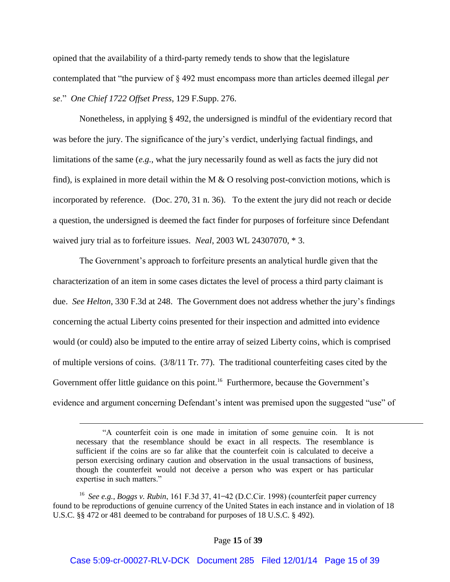opined that the availability of a third-party remedy tends to show that the legislature contemplated that "the purview of § 492 must encompass more than articles deemed illegal *per se* " *One Chief 1722 Offset Press*, 129 F.Supp. 276.

Nonetheless, in applying § 492, the undersigned is mindful of the evidentiary record that was before the jury. The significance of the jury's verdict, underlying factual findings, and limitations of the same (*e.g.*, what the jury necessarily found as well as facts the jury did not find), is explained in more detail within the M  $\&$  O resolving post-conviction motions, which is incorporated by reference. (Doc. 270, 31 n. 36). To the extent the jury did not reach or decide a question, the undersigned is deemed the fact finder for purposes of forfeiture since Defendant waived jury trial as to forfeiture issues. *Neal*, 2003 WL 24307070, \* 3.

The Government's approach to forfeiture presents an analytical hurdle given that the characterization of an item in some cases dictates the level of process a third party claimant is due. *See Helton*, 330 F.3d at 248. The Government does not address whether the jury's findings concerning the actual Liberty coins presented for their inspection and admitted into evidence would (or could) also be imputed to the entire array of seized Liberty coins, which is comprised of multiple versions of coins. (3/8/11 Tr. 77). The traditional counterfeiting cases cited by the Government offer little guidance on this point.<sup>16</sup> Furthermore, because the Government's evidence and argument concerning Defendant's intent was premised upon the suggested "use" of

<sup>&</sup>quot;A counterfeit coin is one made in imitation of some genuine coin. It is not necessary that the resemblance should be exact in all respects. The resemblance is sufficient if the coins are so far alike that the counterfeit coin is calculated to deceive a person exercising ordinary caution and observation in the usual transactions of business, though the counterfeit would not deceive a person who was expert or has particular expertise in such matters."

<sup>&</sup>lt;sup>16</sup> See e.g., Boggs v. Rubin, 161 F.3d 37, 41–42 (D.C.Cir. 1998) (counterfeit paper currency found to be reproductions of genuine currency of the United States in each instance and in violation of 18 U.S.C. §§ 472 or 481 deemed to be contraband for purposes of 18 U.S.C. § 492).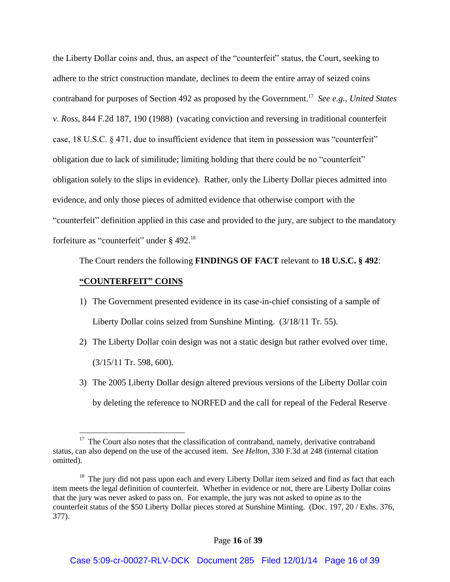the Liberty Dollar coins and, thus, an aspect of the "counterfeit" status, the Court, seeking to adhere to the strict construction mandate, declines to deem the entire array of seized coins contraband for purposes of Section 492 as proposed by the Government. 17 *See e.g., United States v. Ross*, 844 F.2d 187, 190 (1988) (vacating conviction and reversing in traditional counterfeit case,  $18 \text{ U.S.C. }$   $\frac{8}{471}$ , due to insufficient evidence that item in possession was "counterfeit" obligation due to lack of similitude; limiting holding that there could be no "counterfeit" obligation solely to the slips in evidence). Rather, only the Liberty Dollar pieces admitted into evidence, and only those pieces of admitted evidence that otherwise comport with the "counterfeit" definition applied in this case and provided to the jury, are subject to the mandatory forfeiture as "counterfeit" under § 492.<sup>18</sup>

The Court renders the following **FINDINGS OF FACT** relevant to **18 U.S.C. § 492**:

## **"COUNTERFEIT" COINS**

- 1) The Government presented evidence in its case-in-chief consisting of a sample of Liberty Dollar coins seized from Sunshine Minting. (3/18/11 Tr. 55).
- 2) The Liberty Dollar coin design was not a static design but rather evolved over time.  $(3/15/11$  Tr. 598, 600).
- 3) The 2005 Liberty Dollar design altered previous versions of the Liberty Dollar coin by deleting the reference to NORFED and the call for repeal of the Federal Reserve

 $17$  The Court also notes that the classification of contraband, namely, derivative contraband status, can also depend on the use of the accused item. *See Helton*, 330 F.3d at 248 (internal citation omitted).

<sup>&</sup>lt;sup>18</sup> The jury did not pass upon each and every Liberty Dollar item seized and find as fact that each item meets the legal definition of counterfeit. Whether in evidence or not, there are Liberty Dollar coins that the jury was never asked to pass on. For example, the jury was not asked to opine as to the counterfeit status of the \$50 Liberty Dollar pieces stored at Sunshine Minting. (Doc. 197, 20 / Exhs. 376, 377).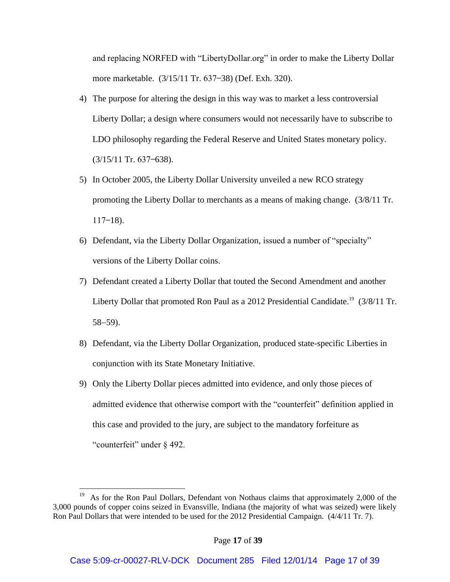and replacing NORFED with "LibertyDollar org" in order to make the Liberty Dollar more marketable. (3/15/11 Tr. 637–38) (Def. Exh. 320).

- 4) The purpose for altering the design in this way was to market a less controversial Liberty Dollar; a design where consumers would not necessarily have to subscribe to LDO philosophy regarding the Federal Reserve and United States monetary policy.  $(3/15/11$  Tr. 637–638).
- 5) In October 2005, the Liberty Dollar University unveiled a new RCO strategy promoting the Liberty Dollar to merchants as a means of making change. (3/8/11 Tr.  $117 - 18$ ).
- 6) Defendant, via the Liberty Dollar Organization, issued a number of "specialty" versions of the Liberty Dollar coins.
- 7) Defendant created a Liberty Dollar that touted the Second Amendment and another Liberty Dollar that promoted Ron Paul as a 2012 Presidential Candidate.<sup>19</sup> (3/8/11 Tr.  $58 - 59$ ).
- 8) Defendant, via the Liberty Dollar Organization, produced state-specific Liberties in conjunction with its State Monetary Initiative.
- 9) Only the Liberty Dollar pieces admitted into evidence, and only those pieces of admitted evidence that otherwise comport with the "counterfeit" definition applied in this case and provided to the jury, are subject to the mandatory forfeiture as "counterfeit" under  $\S$  492.

<sup>&</sup>lt;sup>19</sup> As for the Ron Paul Dollars, Defendant von Nothaus claims that approximately 2,000 of the 3,000 pounds of copper coins seized in Evansville, Indiana (the majority of what was seized) were likely Ron Paul Dollars that were intended to be used for the 2012 Presidential Campaign. (4/4/11 Tr. 7).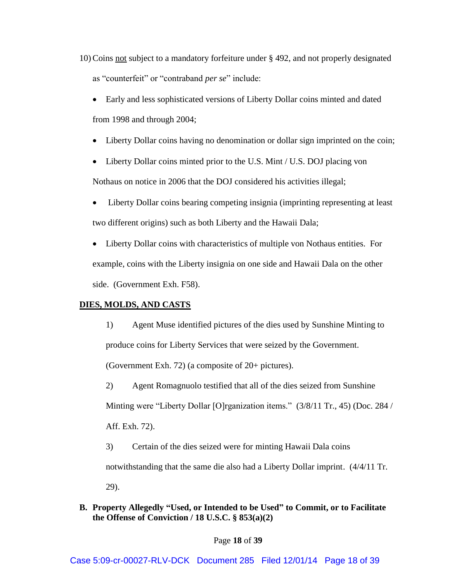10) Coins not subject to a mandatory forfeiture under § 492, and not properly designated as "counterfeit" or "contraband *per se*" include:

- Early and less sophisticated versions of Liberty Dollar coins minted and dated from 1998 and through 2004;
- Liberty Dollar coins having no denomination or dollar sign imprinted on the coin;
- Liberty Dollar coins minted prior to the U.S. Mint / U.S. DOJ placing von Nothaus on notice in 2006 that the DOJ considered his activities illegal;
- Liberty Dollar coins bearing competing insignia (imprinting representing at least two different origins) such as both Liberty and the Hawaii Dala;
- Liberty Dollar coins with characteristics of multiple von Nothaus entities. For example, coins with the Liberty insignia on one side and Hawaii Dala on the other side. (Government Exh. F58).

# **DIES, MOLDS, AND CASTS**

1) Agent Muse identified pictures of the dies used by Sunshine Minting to produce coins for Liberty Services that were seized by the Government. (Government Exh. 72) (a composite of 20+ pictures).

2) Agent Romagnuolo testified that all of the dies seized from Sunshine Minting were "Liberty Dollar [O]rganization items." (3/8/11 Tr., 45) (Doc. 284 / Aff. Exh. 72).

3) Certain of the dies seized were for minting Hawaii Dala coins notwithstanding that the same die also had a Liberty Dollar imprint. (4/4/11 Tr. 29).

**B. Property Allegedly "Used, or Intended to be Used" to Commit, or to Facilitate the Offense of Conviction / 18 U.S.C. § 853(a)(2)**

## Page **18** of **39**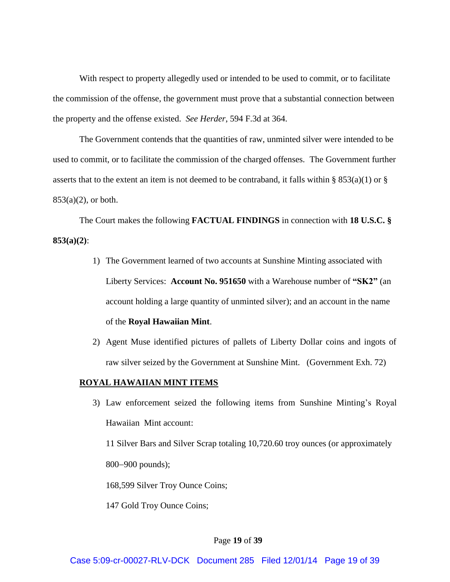With respect to property allegedly used or intended to be used to commit, or to facilitate the commission of the offense, the government must prove that a substantial connection between the property and the offense existed. *See Herder*, 594 F.3d at 364.

The Government contends that the quantities of raw, unminted silver were intended to be used to commit, or to facilitate the commission of the charged offenses. The Government further asserts that to the extent an item is not deemed to be contraband, it falls within  $\S$  853(a)(1) or  $\S$  $853(a)(2)$ , or both.

The Court makes the following **FACTUAL FINDINGS** in connection with **18 U.S.C. § 853(a)(2)**:

- 1) The Government learned of two accounts at Sunshine Minting associated with Liberty Services: **Account No. 951650** with a Warehouse number of **"SK2"** (an account holding a large quantity of unminted silver); and an account in the name of the **Royal Hawaiian Mint**.
- 2) Agent Muse identified pictures of pallets of Liberty Dollar coins and ingots of raw silver seized by the Government at Sunshine Mint. (Government Exh. 72)

## **ROYAL HAWAIIAN MINT ITEMS**

3) Law enforcement seized the following items from Sunshine Minting's Royal Hawaiian Mint account:

11 Silver Bars and Silver Scrap totaling 10,720.60 troy ounces (or approximately 800–900 pounds);

168,599 Silver Troy Ounce Coins;

147 Gold Troy Ounce Coins;

### Page **19** of **39**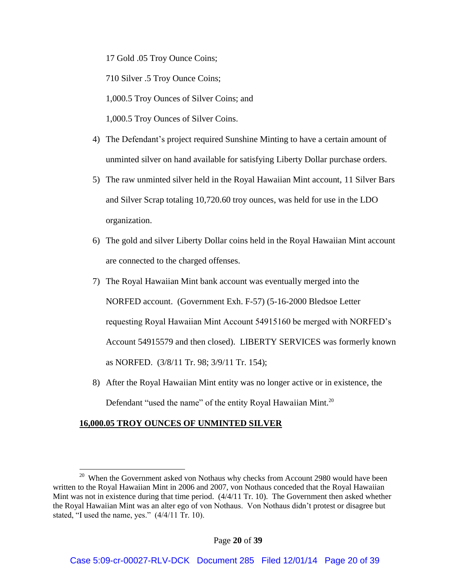17 Gold .05 Troy Ounce Coins;

710 Silver .5 Troy Ounce Coins;

1,000.5 Troy Ounces of Silver Coins; and

1,000.5 Troy Ounces of Silver Coins.

- 4) The Defendant's project required Sunshine Minting to have a certain amount of unminted silver on hand available for satisfying Liberty Dollar purchase orders.
- 5) The raw unminted silver held in the Royal Hawaiian Mint account, 11 Silver Bars and Silver Scrap totaling 10,720.60 troy ounces, was held for use in the LDO organization.
- 6) The gold and silver Liberty Dollar coins held in the Royal Hawaiian Mint account are connected to the charged offenses.
- 7) The Royal Hawaiian Mint bank account was eventually merged into the NORFED account. (Government Exh. F-57) (5-16-2000 Bledsoe Letter requesting Royal Hawaiian Mint Account 54915160 be merged with NORFED's Account 54915579 and then closed). LIBERTY SERVICES was formerly known as NORFED. (3/8/11 Tr. 98; 3/9/11 Tr. 154);
- 8) After the Royal Hawaiian Mint entity was no longer active or in existence, the Defendant "used the name" of the entity Royal Hawaiian Mint. $20$

## **16,000.05 TROY OUNCES OF UNMINTED SILVER**

 $20$  When the Government asked von Nothaus why checks from Account 2980 would have been written to the Royal Hawaiian Mint in 2006 and 2007, von Nothaus conceded that the Royal Hawaiian Mint was not in existence during that time period. (4/4/11 Tr. 10). The Government then asked whether the Royal Hawaiian Mint was an alter ego of von Nothaus. Von Nothaus didn't protest or disagree but stated, "I used the name, yes."  $(4/4/11 \text{ Tr. } 10)$ .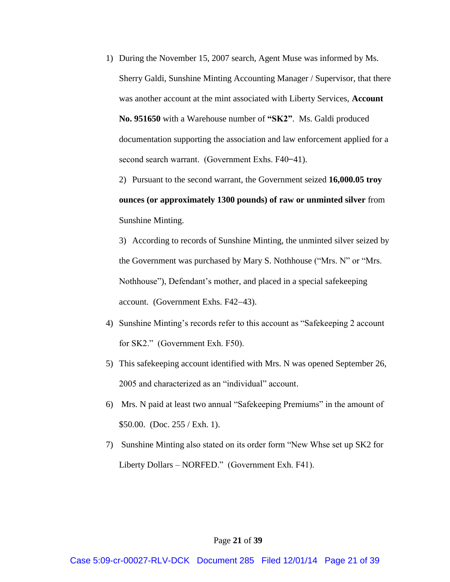1) During the November 15, 2007 search, Agent Muse was informed by Ms. Sherry Galdi, Sunshine Minting Accounting Manager / Supervisor, that there was another account at the mint associated with Liberty Services, **Account No. 951650** with a Warehouse number of **"SK2"**. Ms. Galdi produced documentation supporting the association and law enforcement applied for a second search warrant. (Government Exhs. F40-41).

2) Pursuant to the second warrant, the Government seized **16,000.05 troy ounces (or approximately 1300 pounds) of raw or unminted silver** from Sunshine Minting.

3) According to records of Sunshine Minting, the unminted silver seized by the Government was purchased by Mary S. Nothhouse ("Mrs. N" or "Mrs. Nothhouse"), Defendant's mother, and placed in a special safekeeping account. (Government Exhs. F42-43).

- 4) Sunshine Minting's records refer to this account as "Safekeeping 2 account for  $SK2."$  (Government Exh. F50).
- 5) This safekeeping account identified with Mrs. N was opened September 26, 2005 and characterized as an "individual" account.
- 6) Mrs. N paid at least two annual "Safekeeping Premiums" in the amount of \$50.00. (Doc. 255 / Exh. 1).
- 7) Sunshine Minting also stated on its order form "New Whse set up SK2 for Liberty Dollars – NORFED." (Government Exh. F41).

#### Page **21** of **39**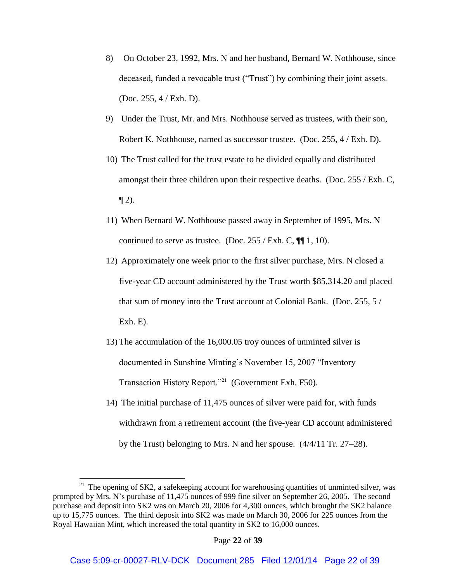- 8) On October 23, 1992, Mrs. N and her husband, Bernard W. Nothhouse, since deceased, funded a revocable trust ("Trust") by combining their joint assets. (Doc. 255, 4 / Exh. D).
- 9) Under the Trust, Mr. and Mrs. Nothhouse served as trustees, with their son, Robert K. Nothhouse, named as successor trustee. (Doc. 255, 4 / Exh. D).
- 10) The Trust called for the trust estate to be divided equally and distributed amongst their three children upon their respective deaths. (Doc. 255 / Exh. C,  $\P$  2).
- 11) When Bernard W. Nothhouse passed away in September of 1995, Mrs. N continued to serve as trustee. (Doc.  $255$  / Exh. C,  $\P$  1, 10).
- 12) Approximately one week prior to the first silver purchase, Mrs. N closed a five-year CD account administered by the Trust worth \$85,314.20 and placed that sum of money into the Trust account at Colonial Bank. (Doc. 255, 5 / Exh. E).
- 13) The accumulation of the 16,000.05 troy ounces of unminted silver is documented in Sunshine Minting's November 15, 2007 "Inventory" Transaction History Report."<sup>21</sup> (Government Exh. F50).
- 14) The initial purchase of 11,475 ounces of silver were paid for, with funds withdrawn from a retirement account (the five-year CD account administered by the Trust) belonging to Mrs. N and her spouse.  $(4/4/11$  Tr. 27–28).

<sup>&</sup>lt;sup>21</sup> The opening of SK2, a safekeeping account for warehousing quantities of unminted silver, was prompted by Mrs. N's purchase of 11,475 ounces of 999 fine silver on September 26, 2005. The second purchase and deposit into SK2 was on March 20, 2006 for 4,300 ounces, which brought the SK2 balance up to 15,775 ounces. The third deposit into SK2 was made on March 30, 2006 for 225 ounces from the Royal Hawaiian Mint, which increased the total quantity in SK2 to 16,000 ounces.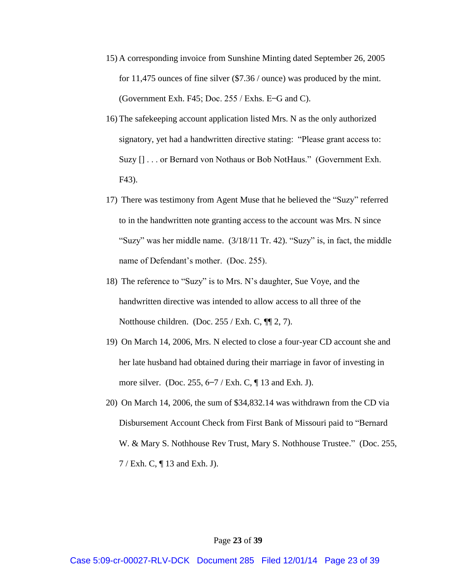- 15) A corresponding invoice from Sunshine Minting dated September 26, 2005 for 11,475 ounces of fine silver (\$7.36 / ounce) was produced by the mint. (Government Exh. F45; Doc.  $255$  / Exhs. E-G and C).
- 16) The safekeeping account application listed Mrs. N as the only authorized signatory, yet had a handwritten directive stating: "Please grant access to: Suzy [] . . . or Bernard von Nothaus or Bob NotHaus." (Government Exh. F43).
- 17) There was testimony from Agent Muse that he believed the "Suzy" referred to in the handwritten note granting access to the account was Mrs. N since "Suzy" was her middle name.  $(3/18/11 \text{ Tr. } 42)$ . "Suzy" is, in fact, the middle name of Defendant's mother. (Doc. 255).
- 18) The reference to "Suzy" is to Mrs. N's daughter, Sue Voye, and the handwritten directive was intended to allow access to all three of the Notthouse children. (Doc.  $255$  / Exh. C,  $\P$  2, 7).
- 19) On March 14, 2006, Mrs. N elected to close a four-year CD account she and her late husband had obtained during their marriage in favor of investing in more silver. (Doc. 255,  $6-7$  / Exh. C,  $\P$  13 and Exh. J).
- 20) On March 14, 2006, the sum of \$34,832.14 was withdrawn from the CD via Disbursement Account Check from First Bank of Missouri paid to "Bernar W. & Mary S. Nothhouse Rev Trust, Mary S. Nothhouse Trustee." (Doc. 255, 7 / Exh. C, ¶ 13 and Exh. J).

#### Page **23** of **39**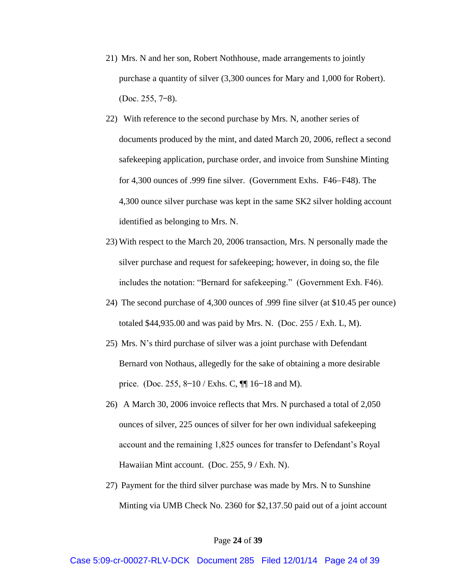- 21) Mrs. N and her son, Robert Nothhouse, made arrangements to jointly purchase a quantity of silver (3,300 ounces for Mary and 1,000 for Robert).  $(Doc. 255, 7-8).$
- 22) With reference to the second purchase by Mrs. N, another series of documents produced by the mint, and dated March 20, 2006, reflect a second safekeeping application, purchase order, and invoice from Sunshine Minting for 4,300 ounces of .999 fine silver. (Government Exhs. F46–F48). The 4,300 ounce silver purchase was kept in the same SK2 silver holding account identified as belonging to Mrs. N.
- 23) With respect to the March 20, 2006 transaction, Mrs. N personally made the silver purchase and request for safekeeping; however, in doing so, the file includes the notation: "Bernard for safekeeping." (Government Exh. F46).
- 24) The second purchase of 4,300 ounces of .999 fine silver (at \$10.45 per ounce) totaled \$44,935.00 and was paid by Mrs. N. (Doc. 255 / Exh. L, M).
- 25) Mrs. N's third purchase of silver was a joint purchase with Defendant Bernard von Nothaus, allegedly for the sake of obtaining a more desirable price. (Doc. 255, 8–10 / Exhs. C,  $\P$ [ 16–18 and M).
- 26) A March 30, 2006 invoice reflects that Mrs. N purchased a total of 2,050 ounces of silver, 225 ounces of silver for her own individual safekeeping account and the remaining 1,825 ounces for transfer to Defendant's Royal Hawaiian Mint account. (Doc. 255, 9 / Exh. N).
- 27) Payment for the third silver purchase was made by Mrs. N to Sunshine Minting via UMB Check No. 2360 for \$2,137.50 paid out of a joint account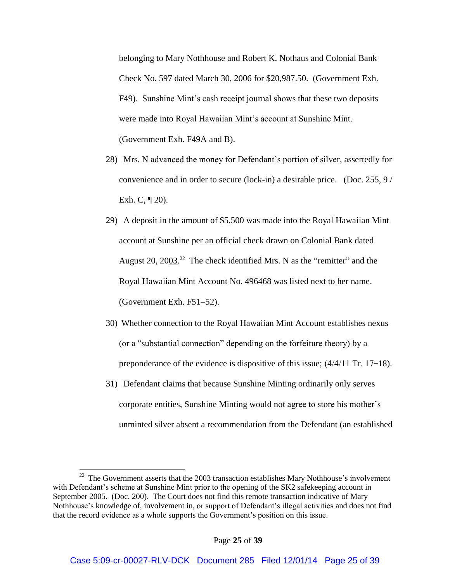belonging to Mary Nothhouse and Robert K. Nothaus and Colonial Bank Check No. 597 dated March 30, 2006 for \$20,987.50. (Government Exh. F49). Sunshine Mint's cash receipt journal shows that these two deposits were made into Royal Hawaiian Mint's account at Sunshine Mint. (Government Exh. F49A and B).

- 28) Mrs. N advanced the money for Defendant's portion of silver, assertedly for convenience and in order to secure (lock-in) a desirable price. (Doc. 255, 9 / Exh. C,  $\P$  20).
- 29) A deposit in the amount of \$5,500 was made into the Royal Hawaiian Mint account at Sunshine per an official check drawn on Colonial Bank dated August 20,  $20\underline{0}3$ .<sup>22</sup> The check identified Mrs. N as the "remitter" and the Royal Hawaiian Mint Account No. 496468 was listed next to her name. (Government Exh.  $F51-52$ ).
- 30) Whether connection to the Royal Hawaiian Mint Account establishes nexus (or a "substantial connection" depending on the forfeiture theory) by a preponderance of the evidence is dispositive of this issue;  $\left(\frac{4}{4}\right)11$  Tr. 17–18).
- 31) Defendant claims that because Sunshine Minting ordinarily only serves corporate entities, Sunshine Minting would not agree to store his mother's unminted silver absent a recommendation from the Defendant (an established

 $22$  The Government asserts that the 2003 transaction establishes Mary Nothhouse's involvement with Defendant's scheme at Sunshine Mint prior to the opening of the SK2 safekeeping account in September 2005. (Doc. 200). The Court does not find this remote transaction indicative of Mary Nothhouse's knowledge of, involvement in, or support of Defendant's illegal activities and does not find that the record evidence as a whole supports the Government's position on this issue.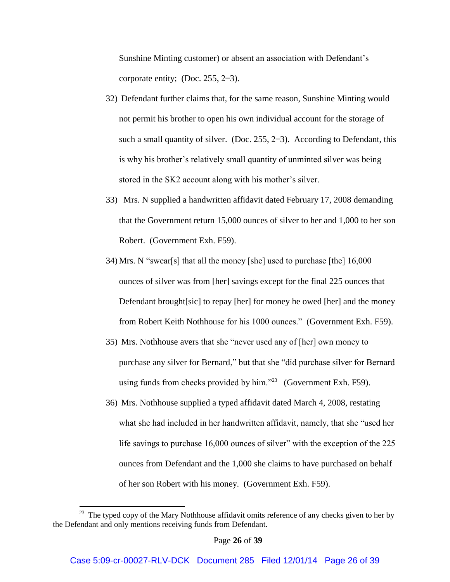Sunshine Minting customer) or absent an association with Defendant's corporate entity; (Doc.  $255$ ,  $2-3$ ).

- 32) Defendant further claims that, for the same reason, Sunshine Minting would not permit his brother to open his own individual account for the storage of such a small quantity of silver. (Doc.  $255$ ,  $2-3$ ). According to Defendant, this is why his brother's relatively small quantity of unminted silver was being stored in the SK2 account along with his mother's silver.
- 33) Mrs. N supplied a handwritten affidavit dated February 17, 2008 demanding that the Government return 15,000 ounces of silver to her and 1,000 to her son Robert. (Government Exh. F59).
- 34) Mrs. N "swear[s] that all the money [she] used to purchase [the]  $16,000$ ounces of silver was from [her] savings except for the final 225 ounces that Defendant brought[sic] to repay [her] for money he owed [her] and the money from Robert Keith Nothhouse for his 1000 ounces." (Government Exh. F59).
- 35) Mrs. Nothhouse avers that she "never used any of [her] own money to purchase any silver for Bernard," but that she "did purchase silver for Bernard using funds from checks provided by him." $^{23}$  (Government Exh. F59).
- 36) Mrs. Nothhouse supplied a typed affidavit dated March 4, 2008, restating what she had included in her handwritten affidavit, namely, that she "used her life savings to purchase  $16,000$  ounces of silver" with the exception of the  $225$ ounces from Defendant and the 1,000 she claims to have purchased on behalf of her son Robert with his money. (Government Exh. F59).

<sup>&</sup>lt;sup>23</sup> The typed copy of the Mary Nothhouse affidavit omits reference of any checks given to her by the Defendant and only mentions receiving funds from Defendant.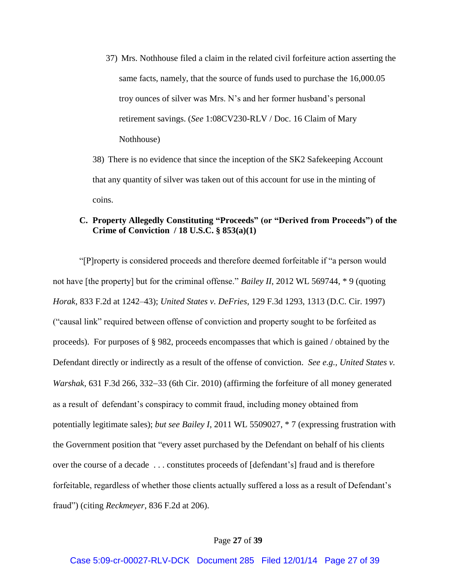37) Mrs. Nothhouse filed a claim in the related civil forfeiture action asserting the same facts, namely, that the source of funds used to purchase the 16,000.05 troy ounces of silver was Mrs. N's and her former husband's personal retirement savings. (*See* 1:08CV230-RLV / Doc. 16 Claim of Mary Nothhouse)

38) There is no evidence that since the inception of the SK2 Safekeeping Account that any quantity of silver was taken out of this account for use in the minting of coins.

# **C. Property Allegedly Constituting "Proceeds" (or "Derived from Proceeds") of the Crime of Conviction / 18 U.S.C. § 853(a)(1)**

"[P]roperty is considered proceeds and therefore deemed forfeitable if "a person would" not have [the property] but for the criminal offense." *Bailey II*, 2012 WL 569744,  $*$  9 (quoting *Horak*, 833 F.2d at 1242–43); *United States v. DeFries*, 129 F.3d 1293, 1313 (D.C. Cir. 1997) "causal link" required between offense of conviction and property sought to be forfeited as proceeds). For purposes of § 982, proceeds encompasses that which is gained / obtained by the Defendant directly or indirectly as a result of the offense of conviction. *See e.g., United States v. Warshak*, 631 F.3d 266, 332–33 (6th Cir. 2010) (affirming the forfeiture of all money generated as a result of defendant's conspiracy to commit fraud, including money obtained from potentially legitimate sales); *but see Bailey I*, 2011 WL 5509027, \* 7 (expressing frustration with the Government position that "every asset purchased by the Defendant on behalf of his clients over the course of a decade ... constitutes proceeds of [defendant's] fraud and is therefore for feitable, regardless of whether those clients actually suffered a loss as a result of Defendant's fraud") (citing *Reckmeyer*, 836 F.2d at 206).

#### Page **27** of **39**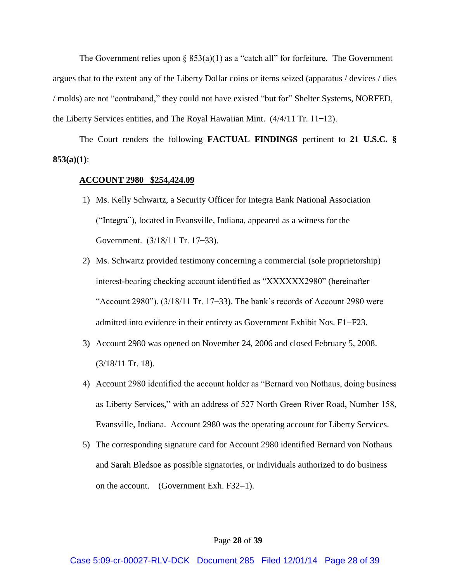The Government relies upon §  $853(a)(1)$  as a "catch all" for forfeiture. The Government argues that to the extent any of the Liberty Dollar coins or items seized (apparatus / devices / dies / molds) are not "contraband," they could not have existed "but for" Shelter Systems, NORFED, the Liberty Services entities, and The Royal Hawaiian Mint.  $(4/4/11 \text{ Tr. } 11-12)$ .

The Court renders the following **FACTUAL FINDINGS** pertinent to **21 U.S.C. § 853(a)(1)**:

## **ACCOUNT 2980 \$254,424.09**

- 1) Ms. Kelly Schwartz, a Security Officer for Integra Bank National Association "Integra"), located in Evansville, Indiana, appeared as a witness for the Government.  $(3/18/11 \text{ Tr. } 17-33)$ .
- 2) Ms. Schwartz provided testimony concerning a commercial (sole proprietorship) interest-bearing checking account identified as "XXXXXX2980" (hereinafter "Account 2980").  $(3/18/11$  Tr. 17-33). The bank's records of Account 2980 were admitted into evidence in their entirety as Government Exhibit Nos. F1–F23.
- 3) Account 2980 was opened on November 24, 2006 and closed February 5, 2008. (3/18/11 Tr. 18).
- 4) Account 2980 identified the account holder as "Bernard von Nothaus, doing business as Liberty Services," with an address of 527 North Green River Road, Number 158, Evansville, Indiana. Account 2980 was the operating account for Liberty Services.
- 5) The corresponding signature card for Account 2980 identified Bernard von Nothaus and Sarah Bledsoe as possible signatories, or individuals authorized to do business on the account. (Government Exh.  $F32-1$ ).

## Page **28** of **39**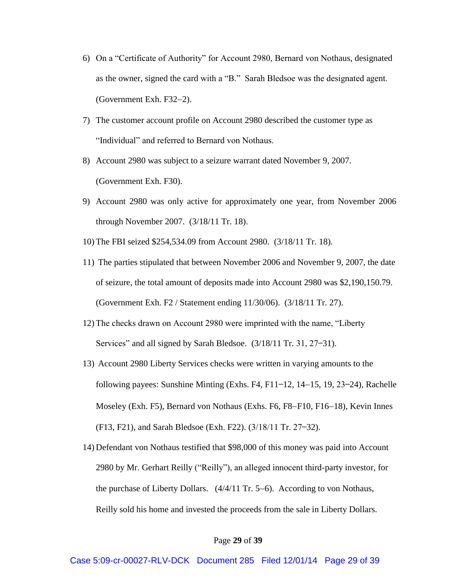- 6) On a "Certificate of Authority" for Account 2980, Bernard von Nothaus, designated as the owner, signed the card with a "B." Sarah Bledsoe was the designated agent.  $(Gover$ ment Exh. F32-2).
- 7) The customer account profile on Account 2980 described the customer type as "Individual" and referred to Bernard von Nothaus.
- 8) Account 2980 was subject to a seizure warrant dated November 9, 2007. (Government Exh. F30).
- 9) Account 2980 was only active for approximately one year, from November 2006 through November 2007. (3/18/11 Tr. 18).
- 10) The FBI seized \$254,534.09 from Account 2980. (3/18/11 Tr. 18).
- 11) The parties stipulated that between November 2006 and November 9, 2007, the date of seizure, the total amount of deposits made into Account 2980 was \$2,190,150.79. (Government Exh. F2 / Statement ending 11/30/06). (3/18/11 Tr. 27).
- 12) The checks drawn on Account 2980 were imprinted with the name, "Liberty Services" and all signed by Sarah Bledsoe.  $(3/18/11 \text{ Tr. } 31, 27-31)$ .
- 13) Account 2980 Liberty Services checks were written in varying amounts to the following payees: Sunshine Minting (Exhs. F4, F11–12, 14–15, 19, 23–24), Rachelle Moseley (Exh. F5), Bernard von Nothaus (Exhs. F6, F8–F10, F16–18), Kevin Innes  $(F13, F21)$ , and Sarah Bledsoe (Exh. F22).  $(3/18/11$  Tr. 27–32).
- 14) Defendant von Nothaus testified that \$98,000 of this money was paid into Account 2980 by Mr. Gerhart Reilly ("Reilly"), an alleged innocent third-party investor, for the purchase of Liberty Dollars.  $(4/4/11 \text{ Tr. } 5-6)$ . According to von Nothaus, Reilly sold his home and invested the proceeds from the sale in Liberty Dollars.

## Page **29** of **39**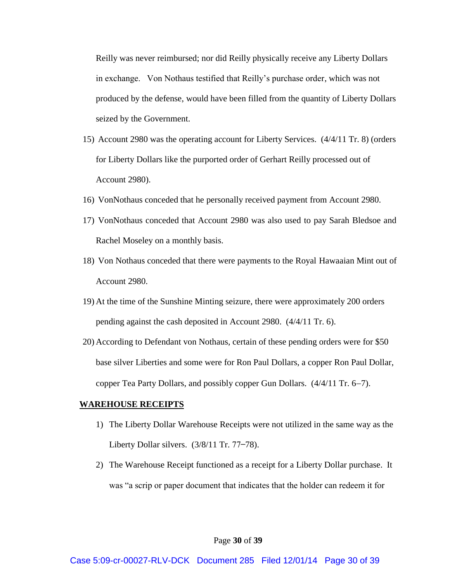Reilly was never reimbursed; nor did Reilly physically receive any Liberty Dollars in exchange. Von Nothaus testified that Reilly's purchase order, which was not produced by the defense, would have been filled from the quantity of Liberty Dollars seized by the Government.

- 15) Account 2980 was the operating account for Liberty Services. (4/4/11 Tr. 8) (orders for Liberty Dollars like the purported order of Gerhart Reilly processed out of Account 2980).
- 16) VonNothaus conceded that he personally received payment from Account 2980.
- 17) VonNothaus conceded that Account 2980 was also used to pay Sarah Bledsoe and Rachel Moseley on a monthly basis.
- 18) Von Nothaus conceded that there were payments to the Royal Hawaaian Mint out of Account 2980.
- 19) At the time of the Sunshine Minting seizure, there were approximately 200 orders pending against the cash deposited in Account 2980. (4/4/11 Tr. 6).
- 20) According to Defendant von Nothaus, certain of these pending orders were for \$50 base silver Liberties and some were for Ron Paul Dollars, a copper Ron Paul Dollar, copper Tea Party Dollars, and possibly copper Gun Dollars.  $(4/4/11 \text{ Tr. } 6-7)$ .

## **WAREHOUSE RECEIPTS**

- 1) The Liberty Dollar Warehouse Receipts were not utilized in the same way as the Liberty Dollar silvers.  $(3/8/11 \text{ Tr. } 77-78)$ .
- 2) The Warehouse Receipt functioned as a receipt for a Liberty Dollar purchase. It was "a scrip or paper document that indicates that the holder can redeem it for

#### Page **30** of **39**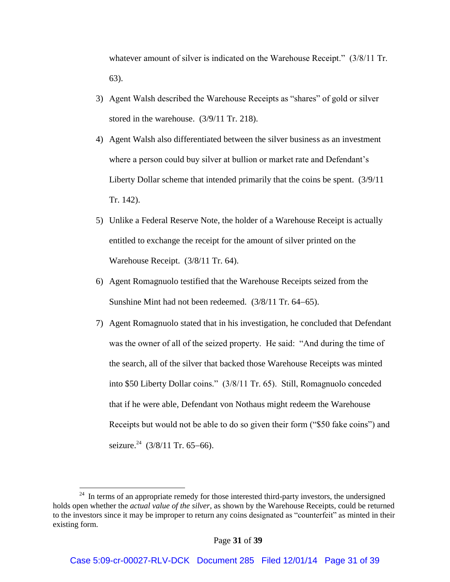whatever amount of silver is indicated on the Warehouse Receipt."  $(3/8/11 \text{ Tr.})$ 63).

- 3) Agent Walsh described the Warehouse Receipts as "shares" of gold or silver stored in the warehouse. (3/9/11 Tr. 218).
- 4) Agent Walsh also differentiated between the silver business as an investment where a person could buy silver at bullion or market rate and Defendant's Liberty Dollar scheme that intended primarily that the coins be spent. (3/9/11 Tr. 142).
- 5) Unlike a Federal Reserve Note, the holder of a Warehouse Receipt is actually entitled to exchange the receipt for the amount of silver printed on the Warehouse Receipt. (3/8/11 Tr. 64).
- 6) Agent Romagnuolo testified that the Warehouse Receipts seized from the Sunshine Mint had not been redeemed.  $(3/8/11$  Tr. 64–65).
- 7) Agent Romagnuolo stated that in his investigation, he concluded that Defendant was the owner of all of the seized property. He said: "And during the time of the search, all of the silver that backed those Warehouse Receipts was minted into \$50 Liberty Dollar coins." (3/8/11 Tr. 65). Still, Romagnuolo conceded that if he were able, Defendant von Nothaus might redeem the Warehouse Receipts but would not be able to do so given their form ("\$50 fake coins") and seizure.<sup>24</sup> (3/8/11 Tr. 65–66).

 $24$  In terms of an appropriate remedy for those interested third-party investors, the undersigned holds open whether the *actual value of the silver*, as shown by the Warehouse Receipts, could be returned to the investors since it may be improper to return any coins designated as "counterfeit" as minted in their existing form.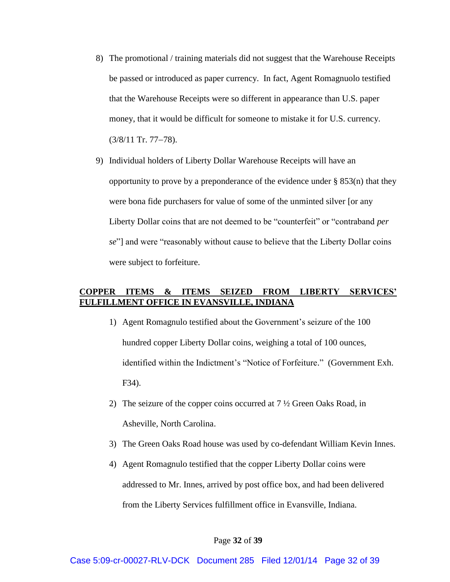- 8) The promotional / training materials did not suggest that the Warehouse Receipts be passed or introduced as paper currency. In fact, Agent Romagnuolo testified that the Warehouse Receipts were so different in appearance than U.S. paper money, that it would be difficult for someone to mistake it for U.S. currency.  $(3/8/11$  Tr. 77–78).
- 9) Individual holders of Liberty Dollar Warehouse Receipts will have an opportunity to prove by a preponderance of the evidence under § 853(n) that they were bona fide purchasers for value of some of the unminted silver [or any Liberty Dollar coins that are not deemed to be "counterfeit" or "contraband *per se*"] and were "reasonably without cause to believe that the Liberty Dollar coins were subject to forfeiture.

## **COPPER ITEMS & ITEMS SEIZED FROM LIBERTY SERVICES' FULFILLMENT OFFICE IN EVANSVILLE, INDIANA**

- 1) Agent Romagnulo testified about the Government's seizure of the 100 hundred copper Liberty Dollar coins, weighing a total of 100 ounces, identified within the Indictment's "Notice of Forfeiture." (Government Exh. F34).
- 2) The seizure of the copper coins occurred at  $7\frac{1}{2}$  Green Oaks Road, in Asheville, North Carolina.
- 3) The Green Oaks Road house was used by co-defendant William Kevin Innes.
- 4) Agent Romagnulo testified that the copper Liberty Dollar coins were addressed to Mr. Innes, arrived by post office box, and had been delivered from the Liberty Services fulfillment office in Evansville, Indiana.

## Page **32** of **39**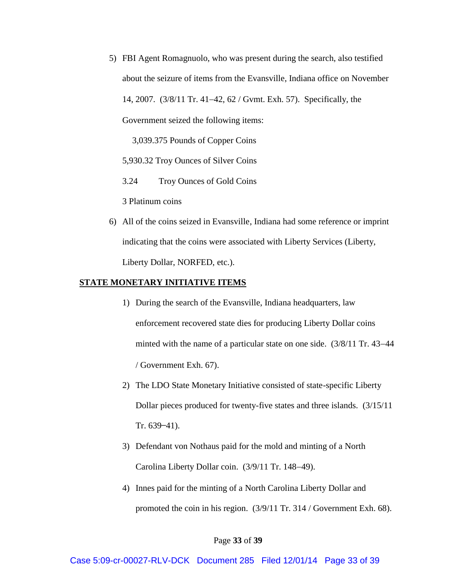5) FBI Agent Romagnuolo, who was present during the search, also testified about the seizure of items from the Evansville, Indiana office on November 14, 2007. (3/8/11 Tr. 41–42, 62 / Gymt. Exh. 57). Specifically, the Government seized the following items:

3,039.375 Pounds of Copper Coins

5,930.32 Troy Ounces of Silver Coins

3.24 Troy Ounces of Gold Coins

3 Platinum coins

6) All of the coins seized in Evansville, Indiana had some reference or imprint indicating that the coins were associated with Liberty Services (Liberty, Liberty Dollar, NORFED, etc.).

## **STATE MONETARY INITIATIVE ITEMS**

- 1) During the search of the Evansville, Indiana headquarters, law enforcement recovered state dies for producing Liberty Dollar coins minted with the name of a particular state on one side.  $(3/8/11 \text{ Tr. } 43-44 \text{ F. } 44)$ / Government Exh. 67).
- 2) The LDO State Monetary Initiative consisted of state-specific Liberty Dollar pieces produced for twenty-five states and three islands. (3/15/11 Tr.  $639 - 41$ ).
- 3) Defendant von Nothaus paid for the mold and minting of a North Carolina Liberty Dollar coin. (3/9/11 Tr. 148-49).
- 4) Innes paid for the minting of a North Carolina Liberty Dollar and promoted the coin in his region. (3/9/11 Tr. 314 / Government Exh. 68).

### Page **33** of **39**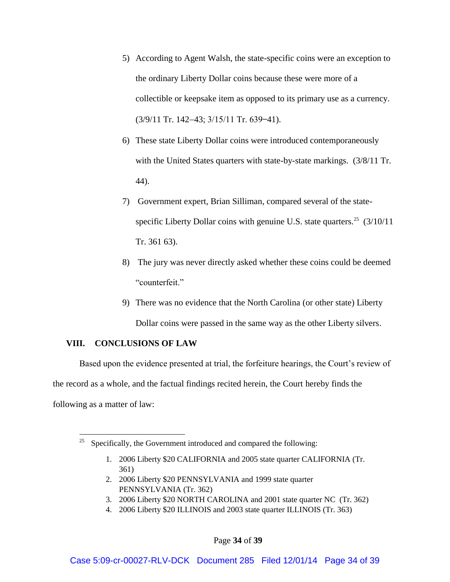- 5) According to Agent Walsh, the state-specific coins were an exception to the ordinary Liberty Dollar coins because these were more of a collectible or keepsake item as opposed to its primary use as a currency.  $(3/9/11$  Tr. 142-43;  $3/15/11$  Tr. 639-41).
- 6) These state Liberty Dollar coins were introduced contemporaneously with the United States quarters with state-by-state markings. (3/8/11 Tr. 44).
- 7) Government expert, Brian Silliman, compared several of the statespecific Liberty Dollar coins with genuine U.S. state quarters.<sup>25</sup>  $(3/10/11)$ Tr. 361 63).
- 8) The jury was never directly asked whether these coins could be deemed "counterfeit."
- 9) There was no evidence that the North Carolina (or other state) Liberty Dollar coins were passed in the same way as the other Liberty silvers.

# **VIII. CONCLUSIONS OF LAW**

Based upon the evidence presented at trial, the forfeiture hearings, the Court's review of the record as a whole, and the factual findings recited herein, the Court hereby finds the following as a matter of law:

- 1. 2006 Liberty \$20 CALIFORNIA and 2005 state quarter CALIFORNIA (Tr. 361)
- 2. 2006 Liberty \$20 PENNSYLVANIA and 1999 state quarter PENNSYLVANIA (Tr. 362)
- 3. 2006 Liberty \$20 NORTH CAROLINA and 2001 state quarter NC (Tr. 362)
- 4. 2006 Liberty \$20 ILLINOIS and 2003 state quarter ILLINOIS (Tr. 363)

<sup>&</sup>lt;sup>25</sup> Specifically, the Government introduced and compared the following: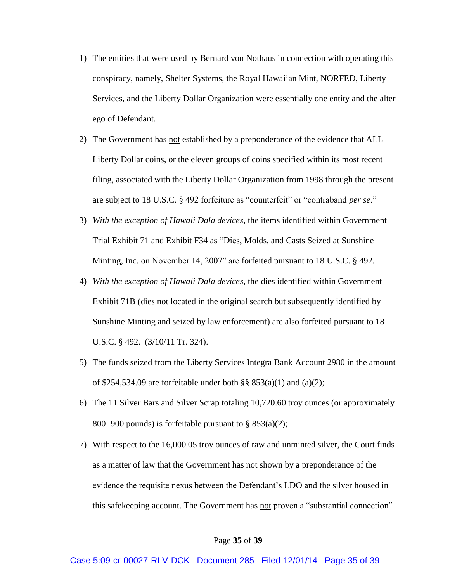- 1) The entities that were used by Bernard von Nothaus in connection with operating this conspiracy, namely, Shelter Systems, the Royal Hawaiian Mint, NORFED, Liberty Services, and the Liberty Dollar Organization were essentially one entity and the alter ego of Defendant.
- 2) The Government has not established by a preponderance of the evidence that ALL Liberty Dollar coins, or the eleven groups of coins specified within its most recent filing, associated with the Liberty Dollar Organization from 1998 through the present are subject to 18 U.S.C. § 492 for feiture as "counterfeit" or "contraband *per se*."
- 3) *With the exception of Hawaii Dala devices*, the items identified within Government Trial Exhibit 71 and Exhibit F34 as "Dies Molds, and Casts Seized at Sunshine Minting, Inc. on November 14, 2007" are forfeited pursuant to 18 U.S.C. § 492.
- 4) *With the exception of Hawaii Dala devices*, the dies identified within Government Exhibit 71B (dies not located in the original search but subsequently identified by Sunshine Minting and seized by law enforcement) are also forfeited pursuant to 18 U.S.C. § 492. (3/10/11 Tr. 324).
- 5) The funds seized from the Liberty Services Integra Bank Account 2980 in the amount of \$254,534.09 are forfeitable under both  $\S$ § 853(a)(1) and (a)(2);
- 6) The 11 Silver Bars and Silver Scrap totaling 10,720.60 troy ounces (or approximately 800–900 pounds) is forfeitable pursuant to  $\S$  853(a)(2);
- 7) With respect to the 16,000.05 troy ounces of raw and unminted silver, the Court finds as a matter of law that the Government has not shown by a preponderance of the evidence the requisite nexus between the Defendant's LDO and the silver housed in this safekeeping account. The Government has not proven a "substantial connection"

## Page **35** of **39**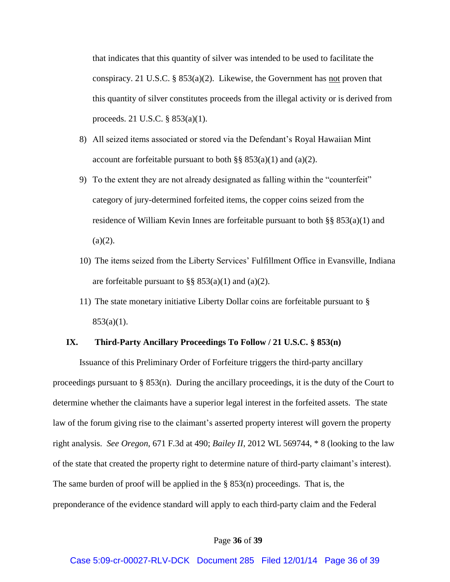that indicates that this quantity of silver was intended to be used to facilitate the conspiracy. 21 U.S.C. § 853(a)(2). Likewise, the Government has not proven that this quantity of silver constitutes proceeds from the illegal activity or is derived from proceeds. 21 U.S.C. § 853(a)(1).

- 8) All seized items associated or stored via the Defendant's Royal Hawaiian Mint account are forfeitable pursuant to both  $\S$ § 853(a)(1) and (a)(2).
- 9) To the extent they are not already designated as falling within the "counterfeit" category of jury-determined forfeited items, the copper coins seized from the residence of William Kevin Innes are forfeitable pursuant to both  $\S$ § 853(a)(1) and  $(a)(2)$ .
- 10) The items seized from the Liberty Services' Ful fillment Office in Evansville, Indiana are forfeitable pursuant to  $\S$ § 853(a)(1) and (a)(2).
- 11) The state monetary initiative Liberty Dollar coins are forfeitable pursuant to §  $853(a)(1)$ .

## **IX. Third-Party Ancillary Proceedings To Follow / 21 U.S.C. § 853(n)**

Issuance of this Preliminary Order of Forfeiture triggers the third-party ancillary proceedings pursuant to  $\S 853(n)$ . During the ancillary proceedings, it is the duty of the Court to determine whether the claimants have a superior legal interest in the forfeited assets. The state law of the forum giving rise to the claimant's asserted property interest will govern the property right analysis. *See Oregon*, 671 F.3d at 490; *Bailey II*, 2012 WL 569744, \* 8 (looking to the law of the state that created the property right to determine nature of third-party claimant's interest). The same burden of proof will be applied in the  $\S$  853(n) proceedings. That is, the preponderance of the evidence standard will apply to each third-party claim and the Federal

## Page **36** of **39**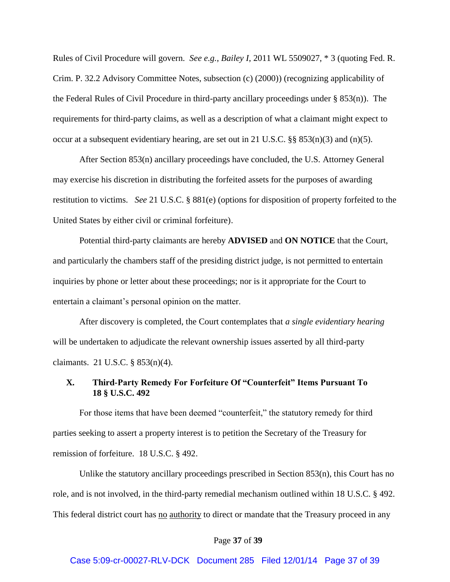Rules of Civil Procedure will govern. *See e.g.*, *Bailey I*, 2011 WL 5509027, \* 3 (quoting Fed. R. Crim. P. 32.2 Advisory Committee Notes, subsection (c) (2000)) (recognizing applicability of the Federal Rules of Civil Procedure in third-party ancillary proceedings under § 853(n)). The requirements for third-party claims, as well as a description of what a claimant might expect to occur at a subsequent evidentiary hearing, are set out in 21 U.S.C.  $\S$ § 853(n)(3) and (n)(5).

After Section 853(n) ancillary proceedings have concluded, the U.S. Attorney General may exercise his discretion in distributing the forfeited assets for the purposes of awarding restitution to victims. *See* 21 U.S.C. § 881(e) (options for disposition of property forfeited to the United States by either civil or criminal forfeiture).

Potential third-party claimants are hereby **ADVISED** and **ON NOTICE** that the Court, and particularly the chambers staff of the presiding district judge, is not permitted to entertain inquiries by phone or letter about these proceedings; nor is it appropriate for the Court to entertain a claimant's personal opinion on the matter

After discovery is completed, the Court contemplates that *a single evidentiary hearing* will be undertaken to adjudicate the relevant ownership issues asserted by all third-party claimants. 21 U.S.C. § 853(n)(4).

## **X. Third-Party Remedy For Forfeiture Of "Counterfeit" Items Pursuant To 18 § U.S.C. 492**

For those items that have been deemed "counterfeit," the statutory remedy for third parties seeking to assert a property interest is to petition the Secretary of the Treasury for remission of forfeiture. 18 U.S.C. § 492.

Unlike the statutory ancillary proceedings prescribed in Section 853(n), this Court has no role, and is not involved, in the third-party remedial mechanism outlined within 18 U.S.C. § 492. This federal district court has no authority to direct or mandate that the Treasury proceed in any

### Page **37** of **39**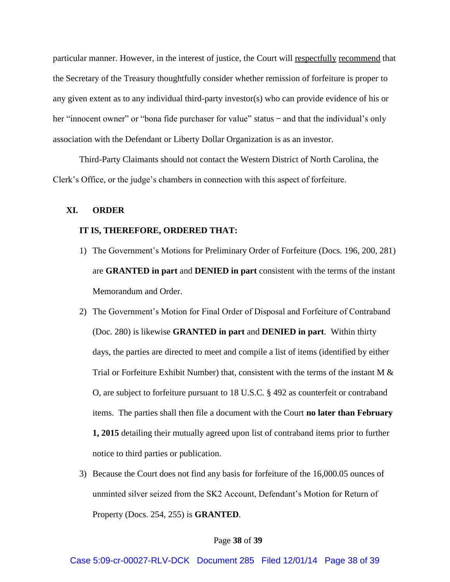particular manner. However, in the interest of justice, the Court will respectfully recommend that the Secretary of the Treasury thoughtfully consider whether remission of forfeiture is proper to any given extent as to any individual third-party investor(s) who can provide evidence of his or her "innocent owner" or "bona fide purchaser for value" status  $-$  and that the individual's only association with the Defendant or Liberty Dollar Organization is as an investor.

Third-Party Claimants should not contact the Western District of North Carolina, the Clerk's Office, or the judge's chambers in connection with this aspect of forfeiture.

## **XI. ORDER**

## **IT IS, THEREFORE, ORDERED THAT:**

- 1) The Government's Motions for Preliminary Order of Forfeiture (Docs. 196, 200, 281) are **GRANTED in part** and **DENIED in part** consistent with the terms of the instant Memorandum and Order.
- 2) The Government's Motion for Final Order of Disposal and Forfeiture of Contraband (Doc. 280) is likewise **GRANTED in part** and **DENIED in part**. Within thirty days, the parties are directed to meet and compile a list of items (identified by either Trial or Forfeiture Exhibit Number) that, consistent with the terms of the instant M  $\&$ O, are subject to forfeiture pursuant to 18 U.S.C. § 492 as counterfeit or contraband items. The parties shall then file a document with the Court **no later than February 1, 2015** detailing their mutually agreed upon list of contraband items prior to further notice to third parties or publication.
- 3) Because the Court does not find any basis for forfeiture of the 16,000.05 ounces of unminted silver seized from the SK2 Account. Defendant's Motion for Return of Property (Docs. 254, 255) is **GRANTED**.

#### Page **38** of **39**